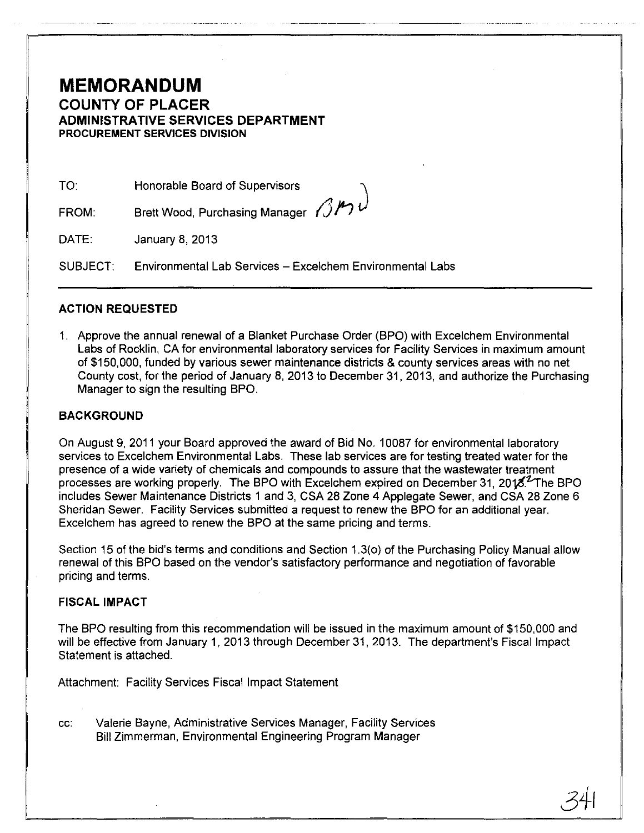# **MEMORANDUM COUNTY OF PLACER ADMINISTRATIVE SERVICES DEPARTMENT PROCUREMENT SERVICES DIVISION**

TO: Honorable Board of Supervisors

FROM: Brett Wood, Purchasing Manager  $\beta$ M

DATE: January 8, 2013

SUBJECT: Environmental Lab Services - Excelchem Environmental Labs

### **ACTION REQUESTED**

1. Approve the annual renewal of a Blanket Purchase Order (BPO) with Excelchem Environmental Labs of Rocklin, CA for environmental laboratory services for Facility Services in maximum amount of \$150,000, funded by various sewer maintenance districts & county services areas with no net County cost, for the period of January 8,2013 to December 31,2013, and authorize the Purchasing Manager to sign the resulting BPO.

### **BACKGROUND**

On August 9, 2011 your Board approved the award of Bid No.1 0087 for environmental laboratory services to Excelchem Environmental Labs. These lab services are for testing treated water for the presence of a wide variety of chemicals and compounds to assure that the wastewater treatment processes are working properly. The BPO with Excelchem expired on December 31, 2018.<sup>2</sup>The BPO includes Sewer Maintenance Districts 1 and 3, CSA 28 Zone 4 Applegate Sewer, and CSA 28 Zone 6 Sheridan Sewer. Facility Services submitted a request to renew the BPO for an additional year. Excelchem has agreed to renew the BPO at the same pricing and terms.

Section 15 of the bid's terms and conditions and Section 1.3(0) of the Purchasing Policy Manual allow renewal of this BPO based on the vendor's satisfactory performance and negotiation of favorable pricing and terms.

### FISCAL **IMPACT**

The BPO resulting from this recommendation will be issued in the maximum amount of \$150,000 and will be effective from January 1, 2013 through December 31, 2013. The department's Fiscal Impact Statement is attached.

Attachment: Facility Services Fiscal Impact Statement

cc: Valerie Bayne, Administrative Services Manager, Facility Services Bill Zimmerman, Environmental Engineering Program Manager